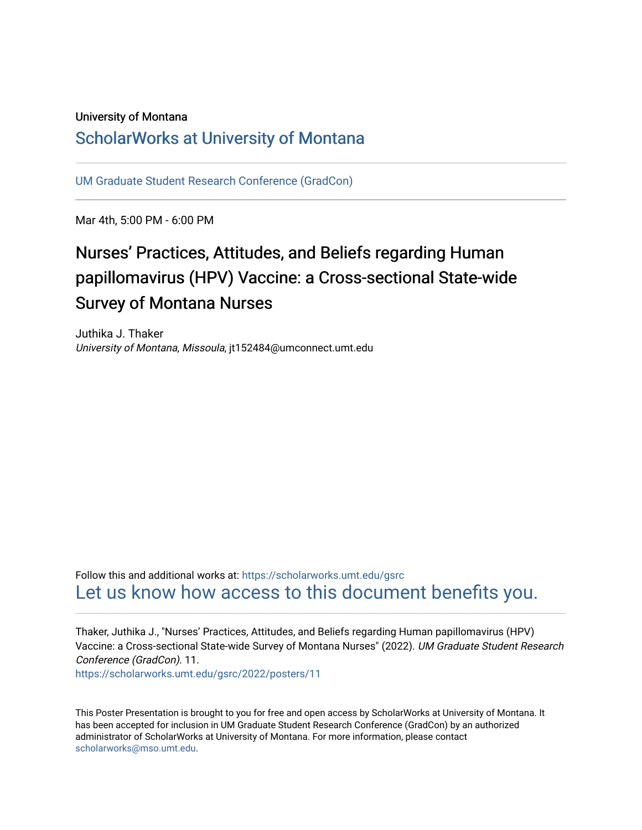### University of Montana

### [ScholarWorks at University of Montana](https://scholarworks.umt.edu/)

[UM Graduate Student Research Conference \(GradCon\)](https://scholarworks.umt.edu/gsrc) 

Mar 4th, 5:00 PM - 6:00 PM

### Nurses' Practices, Attitudes, and Beliefs regarding Human papillomavirus (HPV) Vaccine: a Cross-sectional State-wide Survey of Montana Nurses

Juthika J. Thaker University of Montana, Missoula, jt152484@umconnect.umt.edu

Follow this and additional works at: [https://scholarworks.umt.edu/gsrc](https://scholarworks.umt.edu/gsrc?utm_source=scholarworks.umt.edu%2Fgsrc%2F2022%2Fposters%2F11&utm_medium=PDF&utm_campaign=PDFCoverPages)  [Let us know how access to this document benefits you.](https://goo.gl/forms/s2rGfXOLzz71qgsB2) 

Thaker, Juthika J., "Nurses' Practices, Attitudes, and Beliefs regarding Human papillomavirus (HPV) Vaccine: a Cross-sectional State-wide Survey of Montana Nurses" (2022). UM Graduate Student Research Conference (GradCon). 11.

[https://scholarworks.umt.edu/gsrc/2022/posters/11](https://scholarworks.umt.edu/gsrc/2022/posters/11?utm_source=scholarworks.umt.edu%2Fgsrc%2F2022%2Fposters%2F11&utm_medium=PDF&utm_campaign=PDFCoverPages)

This Poster Presentation is brought to you for free and open access by ScholarWorks at University of Montana. It has been accepted for inclusion in UM Graduate Student Research Conference (GradCon) by an authorized administrator of ScholarWorks at University of Montana. For more information, please contact [scholarworks@mso.umt.edu.](mailto:scholarworks@mso.umt.edu)